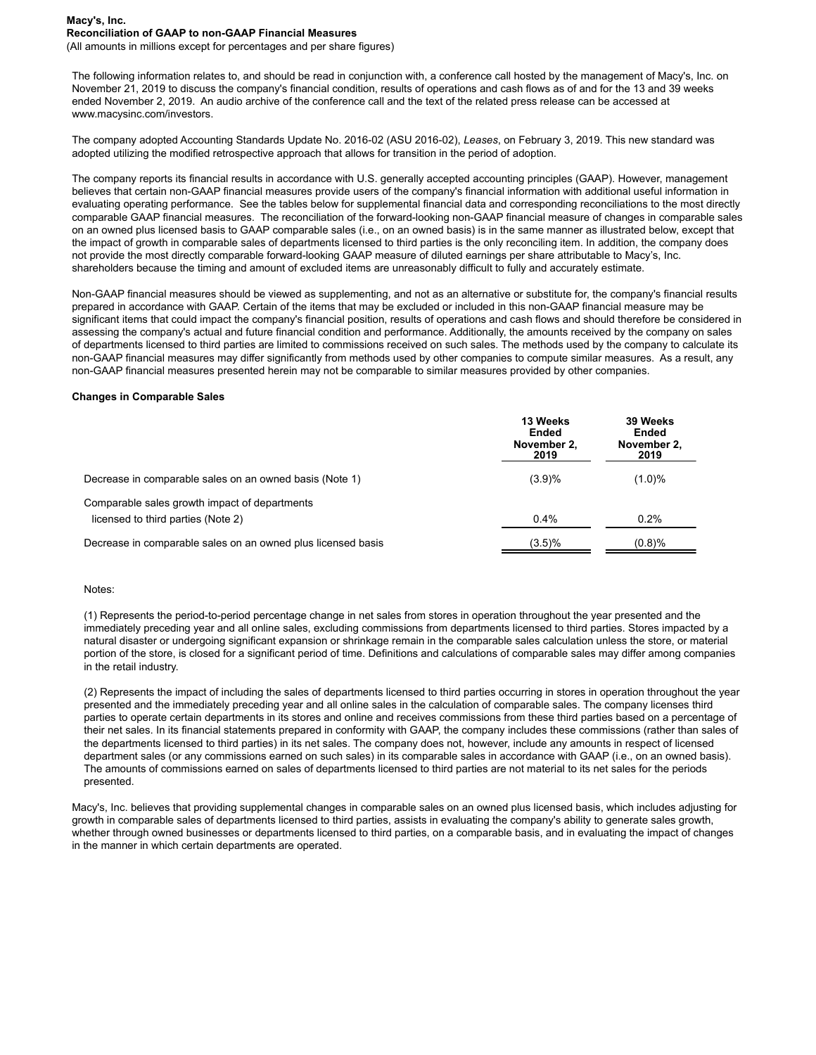### **Macy's, Inc. Reconciliation of GAAP to non-GAAP Financial Measures**

(All amounts in millions except for percentages and per share figures)

The following information relates to, and should be read in conjunction with, a conference call hosted by the management of Macy's, Inc. on November 21, 2019 to discuss the company's financial condition, results of operations and cash flows as of and for the 13 and 39 weeks ended November 2, 2019. An audio archive of the conference call and the text of the related press release can be accessed at www.macysinc.com/investors.

The company adopted Accounting Standards Update No. 2016-02 (ASU 2016-02), *Leases*, on February 3, 2019. This new standard was adopted utilizing the modified retrospective approach that allows for transition in the period of adoption.

The company reports its financial results in accordance with U.S. generally accepted accounting principles (GAAP). However, management believes that certain non-GAAP financial measures provide users of the company's financial information with additional useful information in evaluating operating performance. See the tables below for supplemental financial data and corresponding reconciliations to the most directly comparable GAAP financial measures. The reconciliation of the forward-looking non-GAAP financial measure of changes in comparable sales on an owned plus licensed basis to GAAP comparable sales (i.e., on an owned basis) is in the same manner as illustrated below, except that the impact of growth in comparable sales of departments licensed to third parties is the only reconciling item. In addition, the company does not provide the most directly comparable forward-looking GAAP measure of diluted earnings per share attributable to Macy's, Inc. shareholders because the timing and amount of excluded items are unreasonably difficult to fully and accurately estimate.

Non-GAAP financial measures should be viewed as supplementing, and not as an alternative or substitute for, the company's financial results prepared in accordance with GAAP. Certain of the items that may be excluded or included in this non-GAAP financial measure may be significant items that could impact the company's financial position, results of operations and cash flows and should therefore be considered in assessing the company's actual and future financial condition and performance. Additionally, the amounts received by the company on sales of departments licensed to third parties are limited to commissions received on such sales. The methods used by the company to calculate its non-GAAP financial measures may differ significantly from methods used by other companies to compute similar measures. As a result, any non-GAAP financial measures presented herein may not be comparable to similar measures provided by other companies.

### **Changes in Comparable Sales**

|                                                              | 13 Weeks<br><b>Ended</b><br>November 2.<br>2019 | 39 Weeks<br>Ended<br>November 2,<br>2019 |
|--------------------------------------------------------------|-------------------------------------------------|------------------------------------------|
| Decrease in comparable sales on an owned basis (Note 1)      | (3.9)%                                          | $(1.0)\%$                                |
| Comparable sales growth impact of departments                |                                                 |                                          |
| licensed to third parties (Note 2)                           | 0.4%                                            | 0.2%                                     |
| Decrease in comparable sales on an owned plus licensed basis | $(3.5)\%$                                       | (0.8)%                                   |

### Notes:

(1) Represents the period-to-period percentage change in net sales from stores in operation throughout the year presented and the immediately preceding year and all online sales, excluding commissions from departments licensed to third parties. Stores impacted by a natural disaster or undergoing significant expansion or shrinkage remain in the comparable sales calculation unless the store, or material portion of the store, is closed for a significant period of time. Definitions and calculations of comparable sales may differ among companies in the retail industry.

(2) Represents the impact of including the sales of departments licensed to third parties occurring in stores in operation throughout the year presented and the immediately preceding year and all online sales in the calculation of comparable sales. The company licenses third parties to operate certain departments in its stores and online and receives commissions from these third parties based on a percentage of their net sales. In its financial statements prepared in conformity with GAAP, the company includes these commissions (rather than sales of the departments licensed to third parties) in its net sales. The company does not, however, include any amounts in respect of licensed department sales (or any commissions earned on such sales) in its comparable sales in accordance with GAAP (i.e., on an owned basis). The amounts of commissions earned on sales of departments licensed to third parties are not material to its net sales for the periods presented.

Macy's, Inc. believes that providing supplemental changes in comparable sales on an owned plus licensed basis, which includes adjusting for growth in comparable sales of departments licensed to third parties, assists in evaluating the company's ability to generate sales growth, whether through owned businesses or departments licensed to third parties, on a comparable basis, and in evaluating the impact of changes in the manner in which certain departments are operated.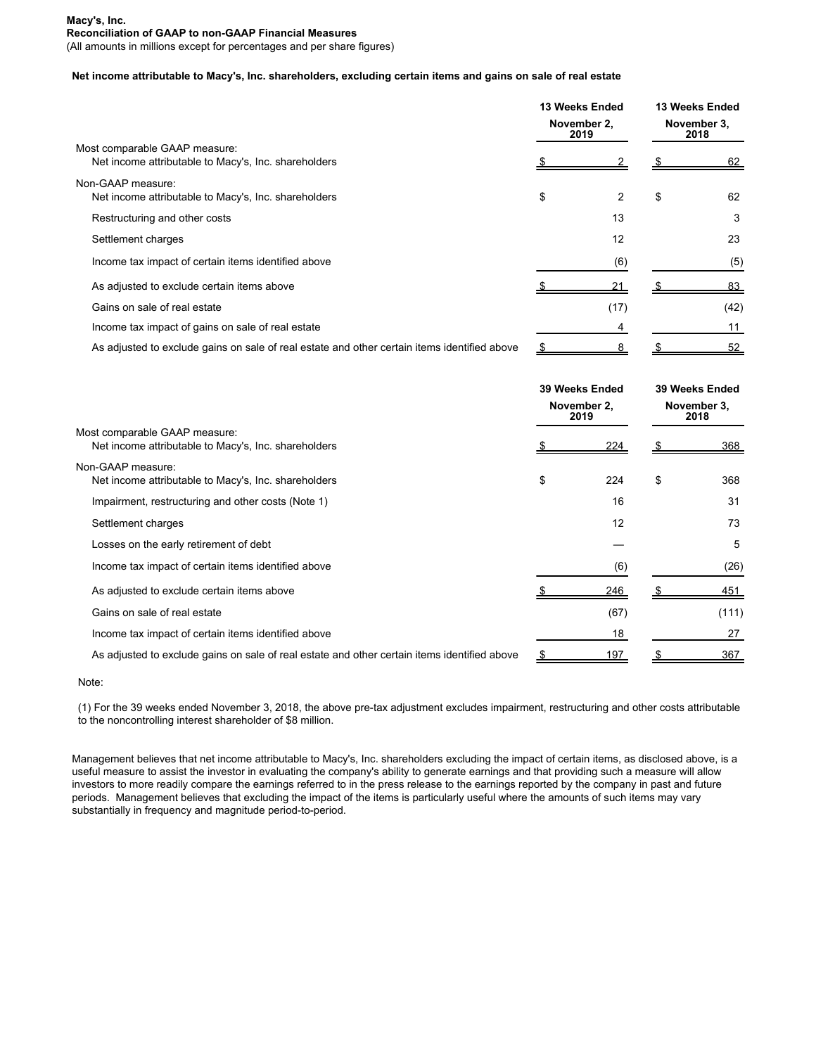## **Macy's, Inc. Reconciliation of GAAP to non-GAAP Financial Measures**

(All amounts in millions except for percentages and per share figures)

### **Net income attributable to Macy's, Inc. shareholders, excluding certain items and gains on sale of real estate**

|                                                                                              |    | 13 Weeks Ended<br>November 2,<br>2019 |    | 13 Weeks Ended<br>November 3,<br>2018 |  |
|----------------------------------------------------------------------------------------------|----|---------------------------------------|----|---------------------------------------|--|
| Most comparable GAAP measure:<br>Net income attributable to Macy's, Inc. shareholders        |    |                                       |    | 62                                    |  |
| Non-GAAP measure:<br>Net income attributable to Macy's, Inc. shareholders                    | \$ | 2                                     | \$ | 62                                    |  |
| Restructuring and other costs                                                                |    | 13                                    |    | 3                                     |  |
| Settlement charges                                                                           |    | 12                                    |    | 23                                    |  |
| Income tax impact of certain items identified above                                          |    | (6)                                   |    | (5)                                   |  |
| As adjusted to exclude certain items above                                                   |    |                                       |    | 83                                    |  |
| Gains on sale of real estate                                                                 |    | (17)                                  |    | (42)                                  |  |
| Income tax impact of gains on sale of real estate                                            |    |                                       |    | 11                                    |  |
| As adjusted to exclude gains on sale of real estate and other certain items identified above | S  | 8                                     |    | 52                                    |  |

| Most comparable GAAP measure:<br>Net income attributable to Macy's, Inc. shareholders        |    | <b>39 Weeks Ended</b><br>November 2,<br>2019 |    | <b>39 Weeks Ended</b><br>November 3,<br>2018 |  |
|----------------------------------------------------------------------------------------------|----|----------------------------------------------|----|----------------------------------------------|--|
|                                                                                              |    | 224                                          |    | <u>368 </u>                                  |  |
| Non-GAAP measure:<br>Net income attributable to Macy's, Inc. shareholders                    | \$ | 224                                          | \$ | 368                                          |  |
| Impairment, restructuring and other costs (Note 1)                                           |    | 16                                           |    | 31                                           |  |
| Settlement charges                                                                           |    | 12                                           |    | 73                                           |  |
| Losses on the early retirement of debt                                                       |    |                                              |    | 5                                            |  |
| Income tax impact of certain items identified above                                          |    | (6)                                          |    | (26)                                         |  |
| As adjusted to exclude certain items above                                                   |    | 246                                          |    | <u>451 </u>                                  |  |
| Gains on sale of real estate                                                                 |    | (67)                                         |    | (111)                                        |  |
| Income tax impact of certain items identified above                                          |    | 18                                           |    | 27                                           |  |
| As adjusted to exclude gains on sale of real estate and other certain items identified above |    | 197                                          |    | 367                                          |  |

Note:

(1) For the 39 weeks ended November 3, 2018, the above pre-tax adjustment excludes impairment, restructuring and other costs attributable to the noncontrolling interest shareholder of \$8 million.

Management believes that net income attributable to Macy's, Inc. shareholders excluding the impact of certain items, as disclosed above, is a useful measure to assist the investor in evaluating the company's ability to generate earnings and that providing such a measure will allow investors to more readily compare the earnings referred to in the press release to the earnings reported by the company in past and future periods. Management believes that excluding the impact of the items is particularly useful where the amounts of such items may vary substantially in frequency and magnitude period-to-period.